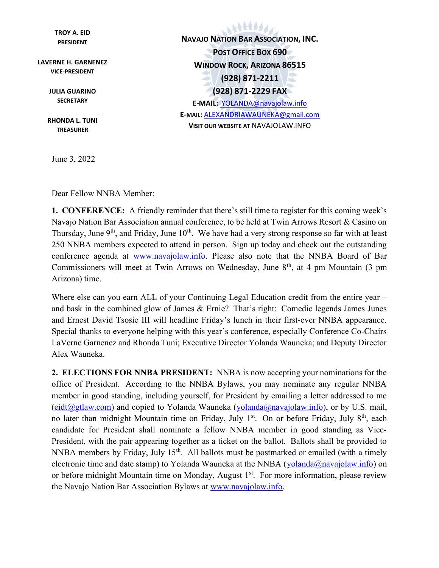TROY A. EID PRESIDENT

LAVERNE H. GARNENEZ VICE-PRESIDENT

> JULIA GUARINO **SECRETARY**

RHONDA L. TUNI TREASURER

June 3, 2022

666666 NAVAJO NATION BAR ASSOCIATION, INC. POST OFFICE BOX 690 WINDOW ROCK, ARIZONA 86515 (928) 871-2211 (928) 871-2229 FAX E-MAIL: YOLANDA@navajolaw.info E-MAIL: ALEXANDRIAWAUNEKA@gmail.com VISIT OUR WEBSITE AT NAVAJOLAW.INFO

Dear Fellow NNBA Member:

1. CONFERENCE: A friendly reminder that there's still time to register for this coming week's Navajo Nation Bar Association annual conference, to be held at Twin Arrows Resort & Casino on Thursday, June  $9<sup>th</sup>$ , and Friday, June  $10<sup>th</sup>$ . We have had a very strong response so far with at least 250 NNBA members expected to attend in person. Sign up today and check out the outstanding conference agenda at www.navajolaw.info. Please also note that the NNBA Board of Bar Commissioners will meet at Twin Arrows on Wednesday, June 8<sup>th</sup>, at 4 pm Mountain (3 pm Arizona) time.

Where else can you earn ALL of your Continuing Legal Education credit from the entire year – and bask in the combined glow of James & Ernie? That's right: Comedic legends James Junes and Ernest David Tsosie III will headline Friday's lunch in their first-ever NNBA appearance. Special thanks to everyone helping with this year's conference, especially Conference Co-Chairs LaVerne Garnenez and Rhonda Tuni; Executive Director Yolanda Wauneka; and Deputy Director Alex Wauneka.

2. ELECTIONS FOR NNBA PRESIDENT: NNBA is now accepting your nominations for the office of President. According to the NNBA Bylaws, you may nominate any regular NNBA member in good standing, including yourself, for President by emailing a letter addressed to me  $(eidt@gtlaw.com)$  and copied to Yolanda Wauneka (yolanda@navajolaw.info), or by U.S. mail, no later than midnight Mountain time on Friday, July  $1<sup>st</sup>$ . On or before Friday, July  $8<sup>th</sup>$ , each candidate for President shall nominate a fellow NNBA member in good standing as Vice-President, with the pair appearing together as a ticket on the ballot. Ballots shall be provided to NNBA members by Friday, July  $15<sup>th</sup>$ . All ballots must be postmarked or emailed (with a timely electronic time and date stamp) to Yolanda Wauneka at the NNBA (yolanda@navajolaw.info) on or before midnight Mountain time on Monday, August  $1<sup>st</sup>$ . For more information, please review the Navajo Nation Bar Association Bylaws at www.navajolaw.info.